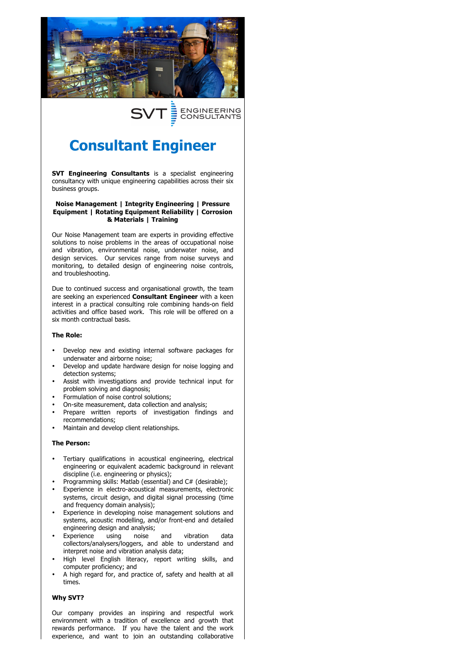

## ENGINEERING<br>CONSULTANTS Ĵ

# **Consultant Engineer**

**SVT Engineering Consultants** is a specialist engineering consultancy with unique engineering capabilities across their six business groups.

### **Noise Management | Integrity Engineering | Pressure Equipment | Rotating Equipment Reliability | Corrosion & Materials | Training**

Our Noise Management team are experts in providing effective solutions to noise problems in the areas of occupational noise and vibration, environmental noise, underwater noise, and design services. Our services range from noise surveys and monitoring, to detailed design of engineering noise controls, and troubleshooting.

Due to continued success and organisational growth, the team are seeking an experienced **Consultant Engineer** with a keen interest in a practical consulting role combining hands-on field activities and office based work. This role will be offered on a six month contractual basis.

### **The Role:**

- Develop new and existing internal software packages for underwater and airborne noise;
- Develop and update hardware design for noise logging and detection systems;
- Assist with investigations and provide technical input for problem solving and diagnosis;
- Formulation of noise control solutions;
- On-site measurement, data collection and analysis;
- Prepare written reports of investigation findings and recommendations;
- Maintain and develop client relationships.

### **The Person:**

- Tertiary qualifications in acoustical engineering, electrical engineering or equivalent academic background in relevant discipline (i.e. engineering or physics);
- Programming skills: Matlab (essential) and C# (desirable);
- Experience in electro-acoustical measurements, electronic systems, circuit design, and digital signal processing (time and frequency domain analysis);
- Experience in developing noise management solutions and systems, acoustic modelling, and/or front-end and detailed engineering design and analysis;<br>Experience using noise
- Experience using noise and vibration data collectors/analysers/loggers, and able to understand and interpret noise and vibration analysis data;
- High level English literacy, report writing skills, and computer proficiency; and
- A high regard for, and practice of, safety and health at all times.

### **Why SVT?**

Our company provides an inspiring and respectful work environment with a tradition of excellence and growth that rewards performance. If you have the talent and the work experience, and want to join an outstanding collaborative